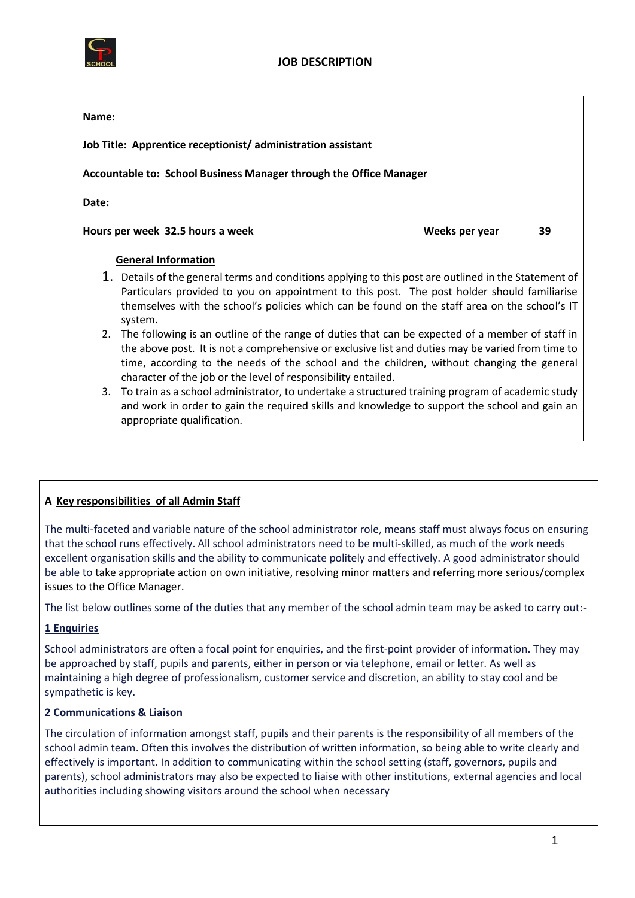

#### **Name:**

**Job Title: Apprentice receptionist/ administration assistant**

**Accountable to: School Business Manager through the Office Manager** 

**Date:** 

**Hours per week 32.5 hours a week Weeks per year 39** 

### **General Information**

- 1. Details of the general terms and conditions applying to this post are outlined in the Statement of Particulars provided to you on appointment to this post. The post holder should familiarise themselves with the school's policies which can be found on the staff area on the school's IT system.
- 2. The following is an outline of the range of duties that can be expected of a member of staff in the above post. It is not a comprehensive or exclusive list and duties may be varied from time to time, according to the needs of the school and the children, without changing the general character of the job or the level of responsibility entailed.
- 3. To train as a school administrator, to undertake a structured training program of academic study and work in order to gain the required skills and knowledge to support the school and gain an appropriate qualification.

# **A Key responsibilities of all Admin Staff**

The multi-faceted and variable nature of the school administrator role, means staff must always focus on ensuring that the school runs effectively. All school administrators need to be multi-skilled, as much of the work needs excellent organisation skills and the ability to communicate politely and effectively. A good administrator should be able to take appropriate action on own initiative, resolving minor matters and referring more serious/complex issues to the Office Manager.

The list below outlines some of the duties that any member of the school admin team may be asked to carry out:-

# **1 Enquiries**

School administrators are often a focal point for enquiries, and the first-point provider of information. They may be approached by staff, pupils and parents, either in person or via telephone, email or letter. As well as maintaining a high degree of professionalism, customer service and discretion, an ability to stay cool and be sympathetic is key.

# **2 Communications & Liaison**

The circulation of information amongst staff, pupils and their parents is the responsibility of all members of the school admin team. Often this involves the distribution of written information, so being able to write clearly and effectively is important. In addition to communicating within the school setting (staff, governors, pupils and parents), school administrators may also be expected to liaise with other institutions, external agencies and local authorities including showing visitors around the school when necessary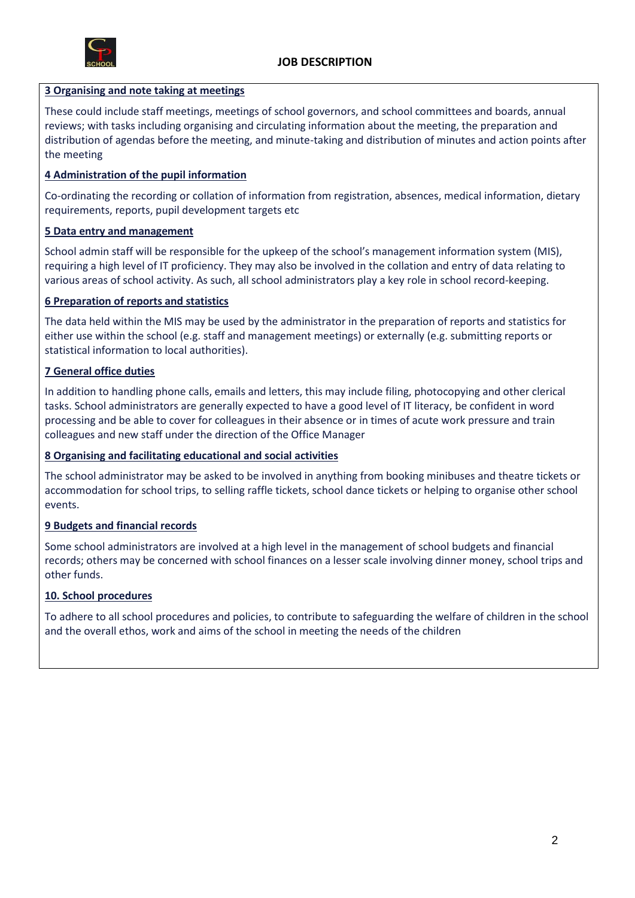

### **3 Organising and note taking at meetings**

These could include staff meetings, meetings of school governors, and school committees and boards, annual reviews; with tasks including organising and circulating information about the meeting, the preparation and distribution of agendas before the meeting, and minute-taking and distribution of minutes and action points after the meeting

# **4 Administration of the pupil information**

Co-ordinating the recording or collation of information from registration, absences, medical information, dietary requirements, reports, pupil development targets etc

### **5 Data entry and management**

School admin staff will be responsible for the upkeep of the school's management information system (MIS), requiring a high level of IT proficiency. They may also be involved in the collation and entry of data relating to various areas of school activity. As such, all school administrators play a key role in school record-keeping.

### **6 Preparation of reports and statistics**

The data held within the MIS may be used by the administrator in the preparation of reports and statistics for either use within the school (e.g. staff and management meetings) or externally (e.g. submitting reports or statistical information to local authorities).

### **7 General office duties**

In addition to handling phone calls, emails and letters, this may include filing, photocopying and other clerical tasks. School administrators are generally expected to have a good level of IT literacy, be confident in word processing and be able to cover for colleagues in their absence or in times of acute work pressure and train colleagues and new staff under the direction of the Office Manager

#### **8 Organising and facilitating educational and social activities**

The school administrator may be asked to be involved in anything from booking minibuses and theatre tickets or accommodation for school trips, to selling raffle tickets, school dance tickets or helping to organise other school events.

#### **9 Budgets and financial records**

Some school administrators are involved at a high level in the management of school budgets and financial records; others may be concerned with school finances on a lesser scale involving dinner money, school trips and other funds.

# **10. School procedures**

To adhere to all school procedures and policies, to contribute to safeguarding the welfare of children in the school and the overall ethos, work and aims of the school in meeting the needs of the children